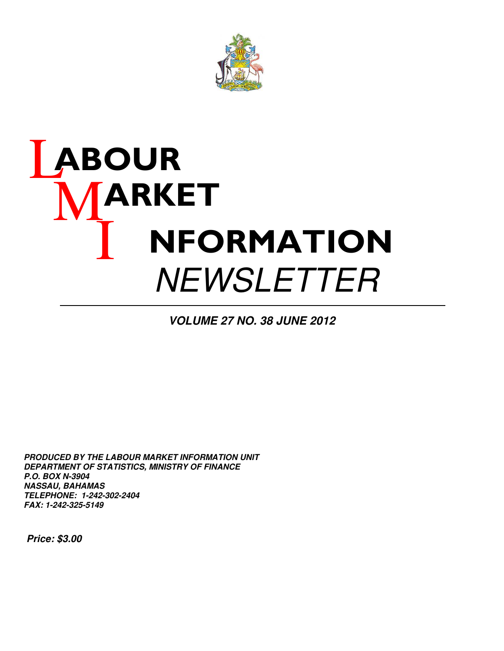

# **ABOUR** MARKET I NFORMATION **NEWSLETTER**

**VOLUME 27 NO. 38 JUNE 2012**

**PRODUCED BY THE LABOUR MARKET INFORMATION UNIT DEPARTMENT OF STATISTICS, MINISTRY OF FINANCE P.O. BOX N-3904 NASSAU, BAHAMAS TELEPHONE: 1-242-302-2404 FAX: 1-242-325-5149**

 **Price: \$3.00**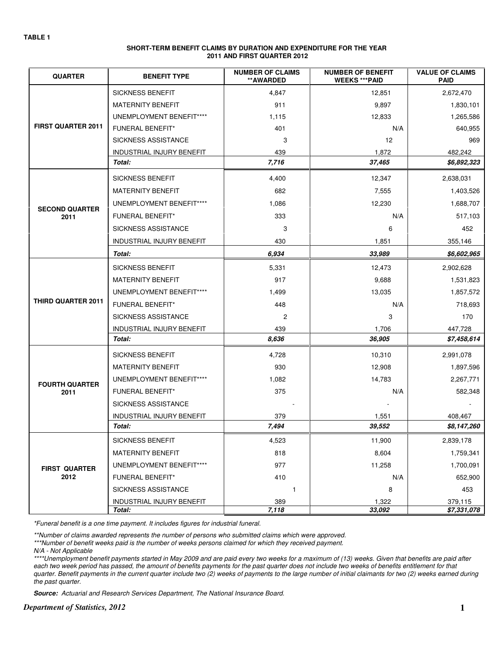| SHORT-TERM BENEFIT CLAIMS BY DURATION AND EXPENDITURE FOR THE YEAR |
|--------------------------------------------------------------------|
| 2011 AND FIRST QUARTER 2012                                        |

| <b>QUARTER</b>                | <b>BENEFIT TYPE</b>       | <b>NUMBER OF CLAIMS</b><br>**AWARDED | <b>NUMBER OF BENEFIT</b><br><b>WEEKS *** PAID</b> | <b>VALUE OF CLAIMS</b><br><b>PAID</b> |
|-------------------------------|---------------------------|--------------------------------------|---------------------------------------------------|---------------------------------------|
|                               | <b>SICKNESS BENEFIT</b>   | 4,847                                | 12,851                                            | 2,672,470                             |
|                               | <b>MATERNITY BENEFIT</b>  | 911                                  | 9,897                                             | 1,830,101                             |
|                               | UNEMPLOYMENT BENEFIT****  | 1,115                                | 12,833                                            | 1,265,586                             |
| <b>FIRST QUARTER 2011</b>     | <b>FUNERAL BENEFIT*</b>   | 401                                  | N/A                                               | 640,955                               |
|                               | SICKNESS ASSISTANCE       | 3                                    | 12                                                | 969                                   |
|                               | INDUSTRIAL INJURY BENEFIT | 439                                  | 1,872                                             | 482,242                               |
|                               | Total:                    | 7,716                                | 37,465                                            | \$6,892,323                           |
|                               | <b>SICKNESS BENEFIT</b>   | 4,400                                | 12,347                                            | 2,638,031                             |
|                               | <b>MATERNITY BENEFIT</b>  | 682                                  | 7,555                                             | 1,403,526                             |
|                               | UNEMPLOYMENT BENEFIT****  | 1,086                                | 12,230                                            | 1,688,707                             |
| <b>SECOND QUARTER</b><br>2011 | <b>FUNERAL BENEFIT*</b>   | 333                                  | N/A                                               | 517,103                               |
|                               | SICKNESS ASSISTANCE       | 3                                    | 6                                                 | 452                                   |
|                               | INDUSTRIAL INJURY BENEFIT | 430                                  | 1,851                                             | 355,146                               |
|                               | Total:                    | 6,934                                | 33,989                                            | \$6,602,965                           |
|                               | <b>SICKNESS BENEFIT</b>   | 5,331                                | 12,473                                            | 2,902,628                             |
|                               | <b>MATERNITY BENEFIT</b>  | 917                                  | 9,688                                             | 1,531,823                             |
|                               | UNEMPLOYMENT BENEFIT****  | 1,499                                | 13,035                                            | 1,857,572                             |
| THIRD QUARTER 2011            | <b>FUNERAL BENEFIT*</b>   | 448                                  | N/A                                               | 718,693                               |
|                               | SICKNESS ASSISTANCE       | 2                                    | 3                                                 | 170                                   |
|                               | INDUSTRIAL INJURY BENEFIT | 439                                  | 1,706                                             | 447,728                               |
|                               | Total:                    | 8,636                                | 36,905                                            | \$7,458,614                           |
|                               | <b>SICKNESS BENEFIT</b>   | 4,728                                | 10,310                                            | 2,991,078                             |
|                               | <b>MATERNITY BENEFIT</b>  | 930                                  | 12,908                                            | 1,897,596                             |
| <b>FOURTH QUARTER</b>         | UNEMPLOYMENT BENEFIT****  | 1,082                                | 14,783                                            | 2,267,771                             |
| 2011                          | FUNERAL BENEFIT*          | 375                                  | N/A                                               | 582,348                               |
|                               | SICKNESS ASSISTANCE       |                                      |                                                   |                                       |
|                               | INDUSTRIAL INJURY BENEFIT | 379                                  | 1,551                                             | 408,467                               |
|                               | Total:                    | 7,494                                | 39,552                                            | \$8,147,260                           |
|                               | SICKNESS BENEFIT          | 4,523                                | 11,900                                            | 2,839,178                             |
|                               | MATERNITY BENEFIT         | 818                                  | 8,604                                             | 1,759,341                             |
| <b>FIRST QUARTER</b>          | UNEMPLOYMENT BENEFIT****  | 977                                  | 11,258                                            | 1,700,091                             |
| 2012                          | <b>FUNERAL BENEFIT*</b>   | 410                                  | N/A                                               | 652,900                               |
|                               | SICKNESS ASSISTANCE       | $\mathbf{1}$                         | 8                                                 | 453                                   |
|                               | INDUSTRIAL INJURY BENEFIT | 389                                  | 1,322                                             | 379,115                               |
|                               | Total:                    | 7,118                                | 33,092                                            | \$7,331,078                           |

\*Funeral benefit is a one time payment. It includes figures for industrial funeral.

\*\*Number of claims awarded represents the number of persons who submitted claims which were approved.

\*\*\*Number of benefit weeks paid is the number of weeks persons claimed for which they received payment.

N/A - Not Applicable

\*\*\*\*Unemployment benefit payments started in May 2009 and are paid every two weeks for a maximum of (13) weeks. Given that benefits are paid after each two week period has passed, the amount of benefits payments for the past quarter does not include two weeks of benefits entitlement for that quarter. Benefit payments in the current quarter include two (2) weeks of payments to the large number of initial claimants for two (2) weeks earned during the past quarter.

**Source:** Actuarial and Research Services Department, The National Insurance Board.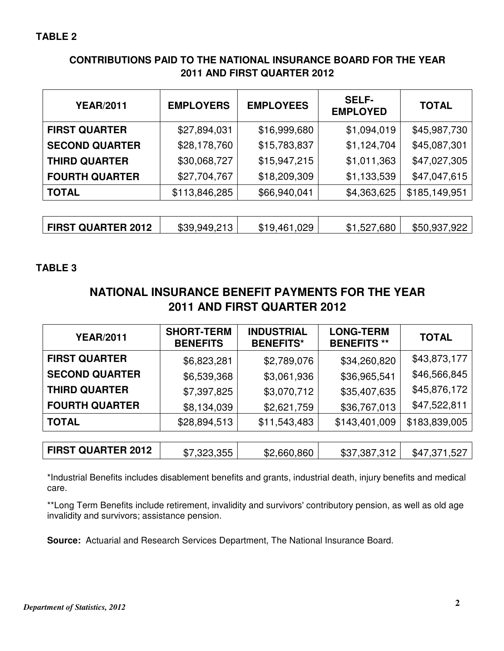## **CONTRIBUTIONS PAID TO THE NATIONAL INSURANCE BOARD FOR THE YEAR 2011 AND FIRST QUARTER 2012**

| <b>YEAR/2011</b>      | <b>EMPLOYERS</b> | <b>EMPLOYEES</b> | <b>SELF-</b><br><b>EMPLOYED</b> | <b>TOTAL</b>  |
|-----------------------|------------------|------------------|---------------------------------|---------------|
| <b>FIRST QUARTER</b>  | \$27,894,031     | \$16,999,680     | \$1,094,019                     | \$45,987,730  |
| <b>SECOND QUARTER</b> | \$28,178,760     | \$15,783,837     | \$1,124,704                     | \$45,087,301  |
| <b>THIRD QUARTER</b>  | \$30,068,727     | \$15,947,215     | \$1,011,363                     | \$47,027,305  |
| <b>FOURTH QUARTER</b> | \$27,704,767     | \$18,209,309     | \$1,133,539                     | \$47,047,615  |
| <b>TOTAL</b>          | \$113,846,285    | \$66,940,041     | \$4,363,625                     | \$185,149,951 |
|                       |                  |                  |                                 |               |

|  | <b>FIRST QUARTER 2012</b> | \$39,949,213 | \$19,461,029 | \$1,527,680 | \$50,937,922 |
|--|---------------------------|--------------|--------------|-------------|--------------|
|--|---------------------------|--------------|--------------|-------------|--------------|

#### **TABLE 3**

# **NATIONAL INSURANCE BENEFIT PAYMENTS FOR THE YEAR 2011 AND FIRST QUARTER 2012**

| <b>YEAR/2011</b>          | <b>SHORT-TERM</b><br><b>BENEFITS</b> | <b>INDUSTRIAL</b><br><b>BENEFITS*</b> | <b>LONG-TERM</b><br><b>BENEFITS **</b> | <b>TOTAL</b>  |
|---------------------------|--------------------------------------|---------------------------------------|----------------------------------------|---------------|
| <b>FIRST QUARTER</b>      | \$6,823,281                          | \$2,789,076                           | \$34,260,820                           | \$43,873,177  |
| <b>SECOND QUARTER</b>     | \$6,539,368                          | \$3,061,936                           | \$36,965,541                           | \$46,566,845  |
| <b>THIRD QUARTER</b>      | \$7,397,825                          | \$3,070,712                           | \$35,407,635                           | \$45,876,172  |
| <b>FOURTH QUARTER</b>     | \$8,134,039                          | \$2,621,759                           | \$36,767,013                           | \$47,522,811  |
| <b>TOTAL</b>              | \$28,894,513                         | \$11,543,483                          | \$143,401,009                          | \$183,839,005 |
|                           |                                      |                                       |                                        |               |
| <b>FIRST QUARTER 2012</b> | \$7,323,355                          | \$2,660,860                           | \$37,387,312                           | \$47,371,527  |

\*Industrial Benefits includes disablement benefits and grants, industrial death, injury benefits and medical care.

\*\*Long Term Benefits include retirement, invalidity and survivors' contributory pension, as well as old age invalidity and survivors; assistance pension.

**Source:** Actuarial and Research Services Department, The National Insurance Board.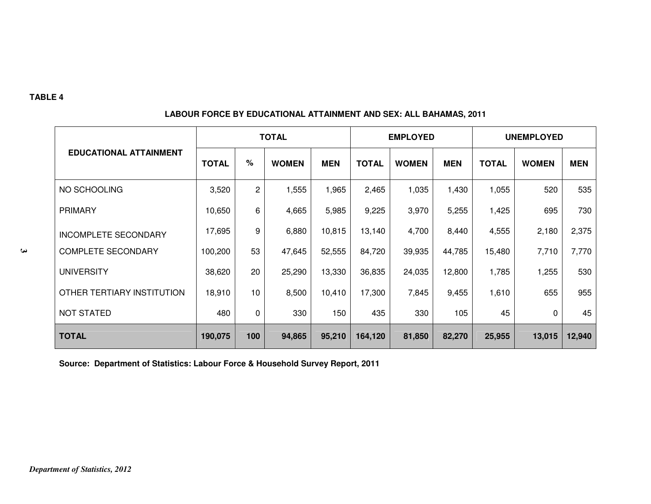|                               | <b>TOTAL</b> |      |              |            |              | <b>EMPLOYED</b> |            | <b>UNEMPLOYED</b> |              |            |  |
|-------------------------------|--------------|------|--------------|------------|--------------|-----------------|------------|-------------------|--------------|------------|--|
| <b>EDUCATIONAL ATTAINMENT</b> | <b>TOTAL</b> | $\%$ | <b>WOMEN</b> | <b>MEN</b> | <b>TOTAL</b> | <b>WOMEN</b>    | <b>MEN</b> | <b>TOTAL</b>      | <b>WOMEN</b> | <b>MEN</b> |  |
| NO SCHOOLING                  | 3,520        | 2    | 1,555        | 1,965      | 2,465        | 1,035           | 1,430      | 1,055             | 520          | 535        |  |
| <b>PRIMARY</b>                | 10,650       | 6    | 4,665        | 5,985      | 9,225        | 3,970           | 5,255      | 1,425             | 695          | 730        |  |
| <b>INCOMPLETE SECONDARY</b>   | 17,695       | 9    | 6,880        | 10,815     | 13,140       | 4,700           | 8,440      | 4,555             | 2,180        | 2,375      |  |
| <b>COMPLETE SECONDARY</b>     | 100,200      | 53   | 47,645       | 52,555     | 84,720       | 39,935          | 44,785     | 15,480            | 7,710        | 7,770      |  |
| <b>UNIVERSITY</b>             | 38,620       | 20   | 25,290       | 13,330     | 36,835       | 24,035          | 12,800     | 1,785             | 1,255        | 530        |  |
| OTHER TERTIARY INSTITUTION    | 18,910       | 10   | 8,500        | 10,410     | 17,300       | 7,845           | 9,455      | 1,610             | 655          | 955        |  |
| <b>NOT STATED</b>             | 480          | 0    | 330          | 150        | 435          | 330             | 105        | 45                | 0            | 45         |  |
| <b>TOTAL</b>                  | 190,075      | 100  | 94,865       | 95,210     | 164,120      | 81,850          | 82,270     | 25,955            | 13,015       | 12,940     |  |

#### **LABOUR FORCE BY EDUCATIONAL ATTAINMENT AND SEX: ALL BAHAMAS, 2011**

**Source: Department of Statistics: Labour Force & Household Survey Report, 2011**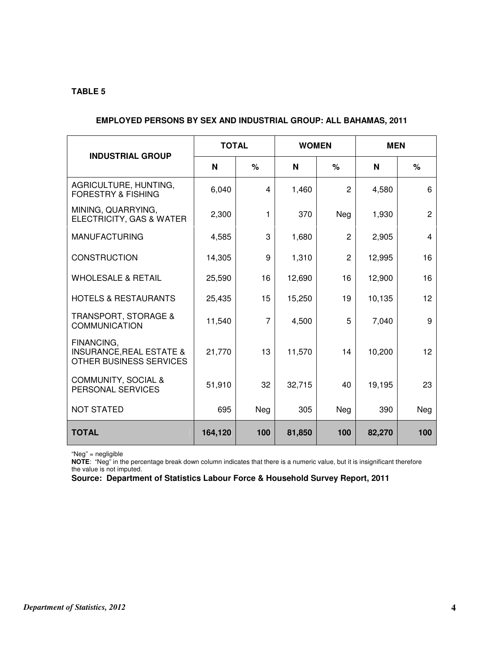| <b>INDUSTRIAL GROUP</b>                                                      | <b>TOTAL</b> |                | <b>WOMEN</b> |                | <b>MEN</b> |                |  |  |  |  |  |
|------------------------------------------------------------------------------|--------------|----------------|--------------|----------------|------------|----------------|--|--|--|--|--|
|                                                                              | N            | %              | N            | $\%$           | N          | $\%$           |  |  |  |  |  |
| AGRICULTURE, HUNTING,<br><b>FORESTRY &amp; FISHING</b>                       | 6,040        | 4              | 1,460        | $\mathbf{2}$   | 4,580      | 6              |  |  |  |  |  |
| MINING, QUARRYING,<br>ELECTRICITY, GAS & WATER                               | 2,300        | 1              | 370          | Neg            | 1,930      | $\overline{2}$ |  |  |  |  |  |
| <b>MANUFACTURING</b>                                                         | 4,585        | 3              | 1,680        | $\mathbf{2}$   | 2,905      | 4              |  |  |  |  |  |
| <b>CONSTRUCTION</b>                                                          | 14,305       | 9              | 1,310        | $\overline{c}$ | 12,995     | 16             |  |  |  |  |  |
| <b>WHOLESALE &amp; RETAIL</b>                                                | 25,590       | 16             | 12,690       | 16             | 12,900     | 16             |  |  |  |  |  |
| <b>HOTELS &amp; RESTAURANTS</b>                                              | 25,435       | 15             | 15,250       | 19             | 10,135     | 12             |  |  |  |  |  |
| <b>TRANSPORT, STORAGE &amp;</b><br><b>COMMUNICATION</b>                      | 11,540       | $\overline{7}$ | 4,500        | 5              | 7,040      | 9              |  |  |  |  |  |
| FINANCING,<br><b>INSURANCE, REAL ESTATE &amp;</b><br>OTHER BUSINESS SERVICES | 21,770       | 13             | 11,570       | 14             | 10,200     | 12             |  |  |  |  |  |
| COMMUNITY, SOCIAL &<br>PERSONAL SERVICES                                     | 51,910       | 32             | 32,715       | 40             | 19,195     | 23             |  |  |  |  |  |
| <b>NOT STATED</b>                                                            | 695          | Neg            | 305          | Neg            | 390        | Neg            |  |  |  |  |  |
| <b>TOTAL</b>                                                                 | 164,120      | 100            | 81,850       | 100            | 82,270     | 100            |  |  |  |  |  |

#### **EMPLOYED PERSONS BY SEX AND INDUSTRIAL GROUP: ALL BAHAMAS, 2011**

"Neg" = negligible

**NOTE**: "Neg" in the percentage break down column indicates that there is a numeric value, but it is insignificant therefore the value is not imputed.

**Source: Department of Statistics Labour Force & Household Survey Report, 2011**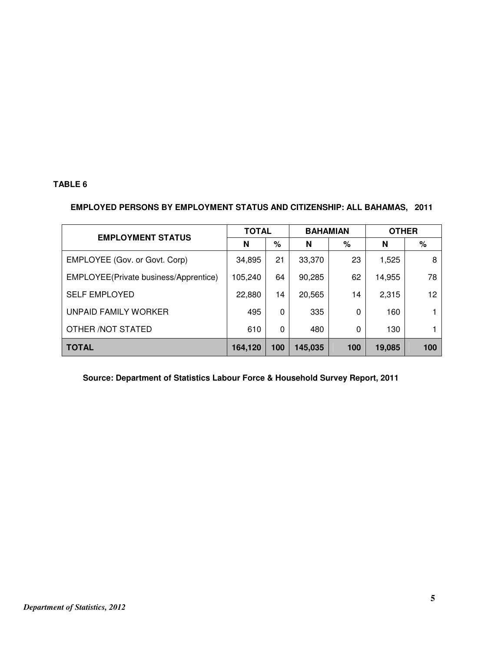#### **EMPLOYED PERSONS BY EMPLOYMENT STATUS AND CITIZENSHIP: ALL BAHAMAS, 2011**

| <b>EMPLOYMENT STATUS</b>              | <b>TOTAL</b> |     | <b>BAHAMIAN</b> |     | <b>OTHER</b> |     |
|---------------------------------------|--------------|-----|-----------------|-----|--------------|-----|
|                                       | N            | %   | N               | %   | N            | %   |
| EMPLOYEE (Gov. or Govt. Corp)         | 34,895       | 21  | 33,370          | 23  | 1,525        | 8   |
| EMPLOYEE(Private business/Apprentice) | 105,240      | 64  | 90,285          | 62  | 14,955       | 78  |
| <b>SELF EMPLOYED</b>                  | 22,880       | 14  | 20,565          | 14  | 2,315        | 12  |
| UNPAID FAMILY WORKER                  | 495          | 0   | 335             | 0   | 160          |     |
| OTHER / NOT STATED                    | 610          | 0   | 480             | 0   | 130          |     |
| <b>TOTAL</b>                          | 164,120      | 100 | 145,035         | 100 | 19,085       | 100 |

 **Source: Department of Statistics Labour Force & Household Survey Report, 2011**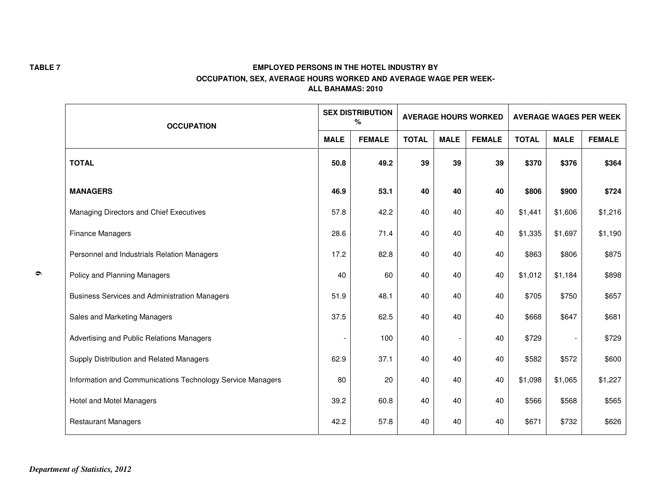|           | <b>OCCUPATION</b><br><b>MALE</b>                           |      | <b>SEX DISTRIBUTION</b><br>℅ |              |             | <b>AVERAGE HOURS WORKED</b> | <b>AVERAGE WAGES PER WEEK</b> |             |               |  |
|-----------|------------------------------------------------------------|------|------------------------------|--------------|-------------|-----------------------------|-------------------------------|-------------|---------------|--|
|           |                                                            |      | <b>FEMALE</b>                | <b>TOTAL</b> | <b>MALE</b> | <b>FEMALE</b>               | <b>TOTAL</b>                  | <b>MALE</b> | <b>FEMALE</b> |  |
|           | <b>TOTAL</b>                                               | 50.8 | 49.2                         | 39           | 39          | 39                          | \$370                         | \$376       | \$364         |  |
|           | <b>MANAGERS</b>                                            | 46.9 | 53.1                         | 40           | 40          | 40                          | \$806                         | \$900       | \$724         |  |
|           | Managing Directors and Chief Executives                    | 57.8 | 42.2                         | 40           | 40          | 40                          | \$1,441                       | \$1,606     | \$1,216       |  |
|           | <b>Finance Managers</b>                                    | 28.6 | 71.4                         | 40           | 40          | 40                          | \$1,335                       | \$1,697     | \$1,190       |  |
|           | Personnel and Industrials Relation Managers                | 17.2 | 82.8                         | 40           | 40          | 40                          | \$863                         | \$806       | \$875         |  |
| $\bullet$ | Policy and Planning Managers                               | 40   | 60                           | 40           | 40          | 40                          | \$1,012                       | \$1,184     | \$898         |  |
|           | <b>Business Services and Administration Managers</b>       | 51.9 | 48.1                         | 40           | 40          | 40                          | \$705                         | \$750       | \$657         |  |
|           | Sales and Marketing Managers                               | 37.5 | 62.5                         | 40           | 40          | 40                          | \$668                         | \$647       | \$681         |  |
|           | Advertising and Public Relations Managers                  |      | 100                          | 40           |             | 40                          | \$729                         |             | \$729         |  |
|           | Supply Distribution and Related Managers                   | 62.9 | 37.1                         | 40           | 40          | 40                          | \$582                         | \$572       | \$600         |  |
|           | Information and Communications Technology Service Managers | 80   | 20                           | 40           | 40          | 40                          | \$1,098                       | \$1,065     | \$1,227       |  |
|           | Hotel and Motel Managers                                   | 39.2 | 60.8                         | 40           | 40          | 40                          | \$566                         | \$568       | \$565         |  |
|           | <b>Restaurant Managers</b>                                 | 42.2 | 57.8                         | 40           | 40          | 40                          | \$671                         | \$732       | \$626         |  |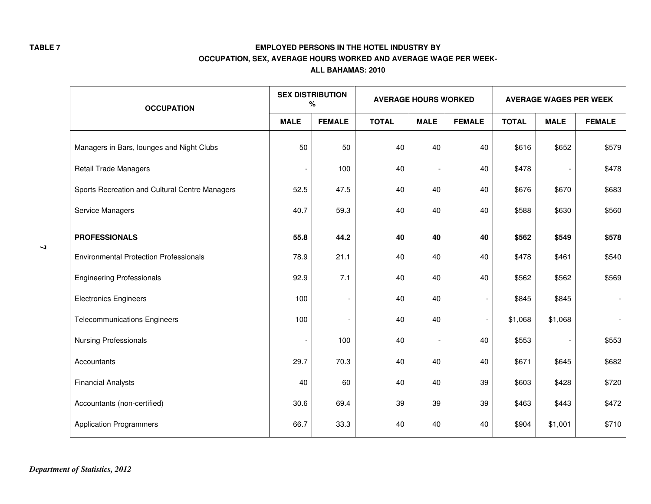|   | <b>OCCUPATION</b>                              | <b>SEX DISTRIBUTION</b><br>$\%$ |               | <b>AVERAGE HOURS WORKED</b> |             |               | <b>AVERAGE WAGES PER WEEK</b> |             |               |  |
|---|------------------------------------------------|---------------------------------|---------------|-----------------------------|-------------|---------------|-------------------------------|-------------|---------------|--|
|   |                                                | <b>MALE</b>                     | <b>FEMALE</b> | <b>TOTAL</b>                | <b>MALE</b> | <b>FEMALE</b> | <b>TOTAL</b>                  | <b>MALE</b> | <b>FEMALE</b> |  |
|   | Managers in Bars, lounges and Night Clubs      | 50                              | 50            | 40                          | 40          | 40            | \$616                         | \$652       | \$579         |  |
|   | <b>Retail Trade Managers</b>                   | $\qquad \qquad \blacksquare$    | 100           | 40                          |             | 40            | \$478                         |             | \$478         |  |
|   | Sports Recreation and Cultural Centre Managers | 52.5                            | 47.5          | 40                          | 40          | 40            | \$676                         | \$670       | \$683         |  |
|   | Service Managers                               | 40.7                            | 59.3          | 40                          | 40          | 40            | \$588                         | \$630       | \$560         |  |
|   | <b>PROFESSIONALS</b>                           | 55.8                            | 44.2          | 40                          | 40          | 40            | \$562                         | \$549       | \$578         |  |
| P | <b>Environmental Protection Professionals</b>  | 78.9                            | 21.1          | 40                          | 40          | 40            | \$478                         | \$461       | \$540         |  |
|   | <b>Engineering Professionals</b>               | 92.9                            | 7.1           | 40                          | 40          | 40            | \$562                         | \$562       | \$569         |  |
|   | <b>Electronics Engineers</b>                   | 100                             |               | 40                          | 40          |               | \$845                         | \$845       |               |  |
|   | <b>Telecommunications Engineers</b>            | 100                             |               | 40                          | 40          |               | \$1,068                       | \$1,068     |               |  |
|   | <b>Nursing Professionals</b>                   |                                 | 100           | 40                          |             | 40            | \$553                         |             | \$553         |  |
|   | Accountants                                    | 29.7                            | 70.3          | 40                          | 40          | 40            | \$671                         | \$645       | \$682         |  |
|   | <b>Financial Analysts</b>                      | 40                              | 60            | 40                          | 40          | 39            | \$603                         | \$428       | \$720         |  |
|   | Accountants (non-certified)                    | 30.6                            | 69.4          | 39                          | 39          | 39            | \$463                         | \$443       | \$472         |  |
|   | <b>Application Programmers</b>                 | 66.7                            | 33.3          | 40                          | 40          | 40            | \$904                         | \$1,001     | \$710         |  |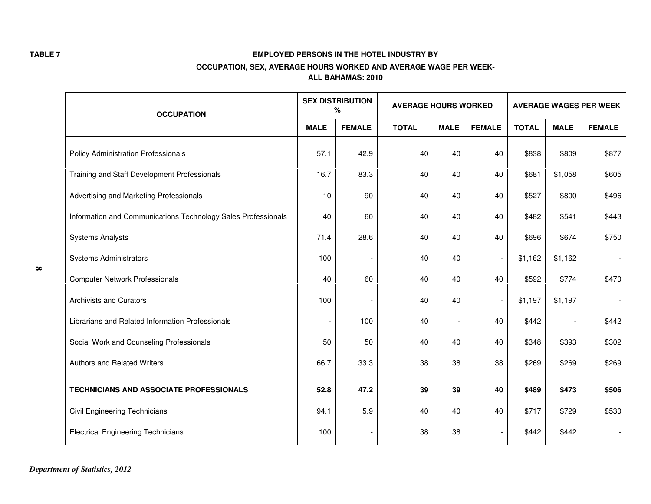|          | <b>OCCUPATION</b>                                             |             | <b>SEX DISTRIBUTION</b><br>℅ | <b>AVERAGE HOURS WORKED</b> |             |               | <b>AVERAGE WAGES PER WEEK</b> |             |               |  |
|----------|---------------------------------------------------------------|-------------|------------------------------|-----------------------------|-------------|---------------|-------------------------------|-------------|---------------|--|
|          |                                                               | <b>MALE</b> | <b>FEMALE</b>                | <b>TOTAL</b>                | <b>MALE</b> | <b>FEMALE</b> | <b>TOTAL</b>                  | <b>MALE</b> | <b>FEMALE</b> |  |
|          | <b>Policy Administration Professionals</b>                    | 57.1        | 42.9                         | 40                          | 40          | 40            | \$838                         | \$809       | \$877         |  |
|          | Training and Staff Development Professionals                  | 16.7        | 83.3                         | 40                          | 40          | 40            | \$681                         | \$1,058     | \$605         |  |
|          | Advertising and Marketing Professionals                       | 10          | 90                           | 40                          | 40          | 40            | \$527                         | \$800       | \$496         |  |
|          | Information and Communications Technology Sales Professionals | 40          | 60                           | 40                          | 40          | 40            | \$482                         | \$541       | \$443         |  |
|          | <b>Systems Analysts</b>                                       | 71.4        | 28.6                         | 40                          | 40          | 40            | \$696                         | \$674       | \$750         |  |
| $\infty$ | <b>Systems Administrators</b>                                 | 100         |                              | 40                          | 40          |               | \$1,162                       | \$1,162     |               |  |
|          | <b>Computer Network Professionals</b>                         | 40          | 60                           | 40                          | 40          | 40            | \$592                         | \$774       | \$470         |  |
|          | <b>Archivists and Curators</b>                                | 100         |                              | 40                          | 40          |               | \$1,197                       | \$1,197     |               |  |
|          | Librarians and Related Information Professionals              |             | 100                          | 40                          |             | 40            | \$442                         |             | \$442         |  |
|          | Social Work and Counseling Professionals                      | 50          | 50                           | 40                          | 40          | 40            | \$348                         | \$393       | \$302         |  |
|          | <b>Authors and Related Writers</b>                            | 66.7        | 33.3                         | 38                          | 38          | 38            | \$269                         | \$269       | \$269         |  |
|          | <b>TECHNICIANS AND ASSOCIATE PROFESSIONALS</b>                | 52.8        | 47.2                         | 39                          | 39          | 40            | \$489                         | \$473       | \$506         |  |
|          | <b>Civil Engineering Technicians</b>                          | 94.1        | 5.9                          | 40                          | 40          | 40            | \$717                         | \$729       | \$530         |  |
|          | <b>Electrical Engineering Technicians</b>                     | 100         |                              | 38                          | 38          |               | \$442                         | \$442       |               |  |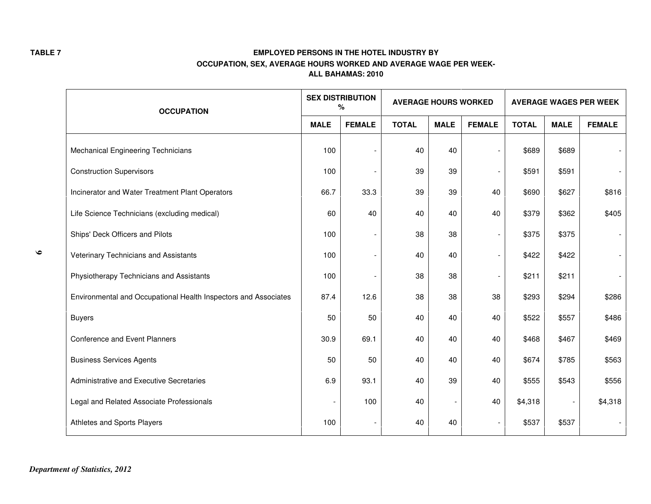|           | <b>OCCUPATION</b>                                               |             | <b>SEX DISTRIBUTION</b><br>℅ | <b>AVERAGE HOURS WORKED</b> |             |                          | <b>AVERAGE WAGES PER WEEK</b> |             |               |  |
|-----------|-----------------------------------------------------------------|-------------|------------------------------|-----------------------------|-------------|--------------------------|-------------------------------|-------------|---------------|--|
|           |                                                                 | <b>MALE</b> | <b>FEMALE</b>                | <b>TOTAL</b>                | <b>MALE</b> | <b>FEMALE</b>            | <b>TOTAL</b>                  | <b>MALE</b> | <b>FEMALE</b> |  |
|           | Mechanical Engineering Technicians                              | 100         |                              | 40                          | 40          | $\overline{\phantom{a}}$ | \$689                         | \$689       |               |  |
|           | <b>Construction Supervisors</b>                                 | 100         |                              | 39                          | 39          | $\overline{\phantom{a}}$ | \$591                         | \$591       |               |  |
|           | Incinerator and Water Treatment Plant Operators                 | 66.7        | 33.3                         | 39                          | 39          | 40                       | \$690                         | \$627       | \$816         |  |
|           | Life Science Technicians (excluding medical)                    | 60          | 40                           | 40                          | 40          | 40                       | \$379                         | \$362       | \$405         |  |
|           | Ships' Deck Officers and Pilots                                 | 100         |                              | 38                          | 38          | $\overline{\phantom{a}}$ | \$375                         | \$375       |               |  |
| $\bullet$ | Veterinary Technicians and Assistants                           | 100         |                              | 40                          | 40          | $\overline{\phantom{a}}$ | \$422                         | \$422       |               |  |
|           | Physiotherapy Technicians and Assistants                        | 100         |                              | 38                          | 38          | $\overline{\phantom{a}}$ | \$211                         | \$211       |               |  |
|           | Environmental and Occupational Health Inspectors and Associates | 87.4        | 12.6                         | 38                          | 38          | 38                       | \$293                         | \$294       | \$286         |  |
|           | <b>Buyers</b>                                                   | 50          | 50                           | 40                          | 40          | 40                       | \$522                         | \$557       | \$486         |  |
|           | Conference and Event Planners                                   | 30.9        | 69.1                         | 40                          | 40          | 40                       | \$468                         | \$467       | \$469         |  |
|           | <b>Business Services Agents</b>                                 | 50          | 50                           | 40                          | 40          | 40                       | \$674                         | \$785       | \$563         |  |
|           | Administrative and Executive Secretaries                        | 6.9         | 93.1                         | 40                          | 39          | 40                       | \$555                         | \$543       | \$556         |  |
|           | Legal and Related Associate Professionals                       |             | 100                          | 40                          |             | 40                       | \$4,318                       |             | \$4,318       |  |
|           | Athletes and Sports Players                                     | 100         |                              | 40                          | 40          |                          | \$537                         | \$537       |               |  |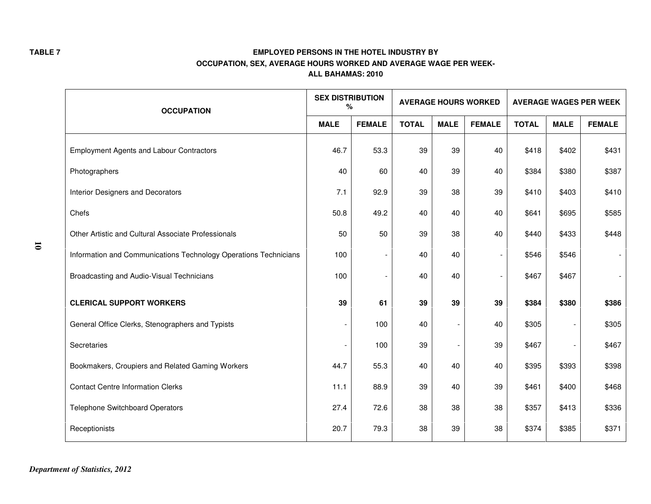|                      | <b>OCCUPATION</b>                                                | <b>SEX DISTRIBUTION</b><br>% |                          | <b>AVERAGE HOURS WORKED</b> |             |                | <b>AVERAGE WAGES PER WEEK</b> |             |               |  |
|----------------------|------------------------------------------------------------------|------------------------------|--------------------------|-----------------------------|-------------|----------------|-------------------------------|-------------|---------------|--|
|                      |                                                                  | <b>MALE</b><br><b>FEMALE</b> |                          | <b>TOTAL</b>                | <b>MALE</b> | <b>FEMALE</b>  | <b>TOTAL</b>                  | <b>MALE</b> | <b>FEMALE</b> |  |
|                      | <b>Employment Agents and Labour Contractors</b>                  | 46.7                         | 53.3                     | 39                          | 39          | 40             | \$418                         | \$402       | \$431         |  |
|                      | Photographers                                                    | 40                           | 60                       | 40                          | 39          | 40             | \$384                         | \$380       | \$387         |  |
|                      | Interior Designers and Decorators                                | 7.1                          | 92.9                     | 39                          | 38          | 39             | \$410                         | \$403       | \$410         |  |
|                      | Chefs                                                            | 50.8                         | 49.2                     | 40                          | 40          | 40             | \$641                         | \$695       | \$585         |  |
|                      | Other Artistic and Cultural Associate Professionals              | 50                           | 50                       | 39                          | 38          | 40             | \$440                         | \$433       | \$448         |  |
| $\overline{\bullet}$ | Information and Communications Technology Operations Technicians | 100                          | $\overline{\phantom{a}}$ | 40                          | 40          | $\overline{a}$ | \$546                         | \$546       |               |  |
|                      | Broadcasting and Audio-Visual Technicians                        | 100                          | $\overline{\phantom{a}}$ | 40                          | 40          | $\blacksquare$ | \$467                         | \$467       |               |  |
|                      | <b>CLERICAL SUPPORT WORKERS</b>                                  | 39                           | 61                       | 39                          | 39          | 39             | \$384                         | \$380       | \$386         |  |
|                      | General Office Clerks, Stenographers and Typists                 |                              | 100                      | 40                          |             | 40             | \$305                         |             | \$305         |  |
|                      | Secretaries                                                      |                              | 100                      | 39                          |             | 39             | \$467                         |             | \$467         |  |
|                      | Bookmakers, Croupiers and Related Gaming Workers                 | 44.7                         | 55.3                     | 40                          | 40          | 40             | \$395                         | \$393       | \$398         |  |
|                      | <b>Contact Centre Information Clerks</b>                         | 11.1                         | 88.9                     | 39                          | 40          | 39             | \$461                         | \$400       | \$468         |  |
|                      | <b>Telephone Switchboard Operators</b>                           | 27.4                         | 72.6                     | 38                          | 38          | 38             | \$357                         | \$413       | \$336         |  |
|                      | Receptionists                                                    | 20.7                         | 79.3                     | 38                          | 39          | 38             | \$374                         | \$385       | \$371         |  |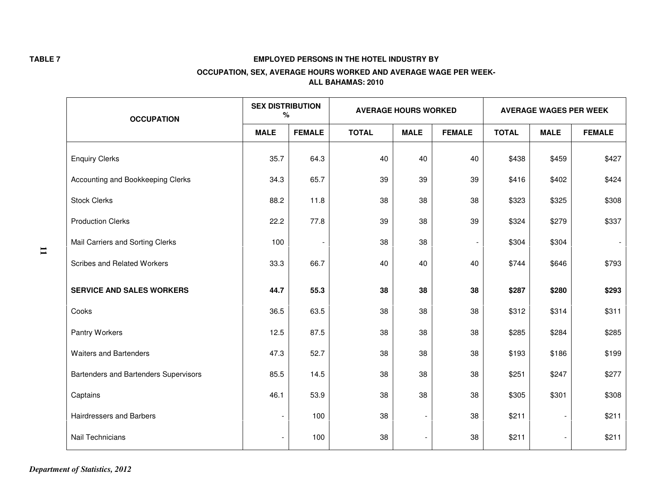|              | <b>OCCUPATION</b>                     | <b>SEX DISTRIBUTION</b><br>℅ |                          |              | <b>AVERAGE HOURS WORKED</b> |                          | <b>AVERAGE WAGES PER WEEK</b> |                          |               |  |
|--------------|---------------------------------------|------------------------------|--------------------------|--------------|-----------------------------|--------------------------|-------------------------------|--------------------------|---------------|--|
|              |                                       | <b>MALE</b>                  | <b>FEMALE</b>            | <b>TOTAL</b> | <b>MALE</b>                 | <b>FEMALE</b>            | <b>TOTAL</b>                  | <b>MALE</b>              | <b>FEMALE</b> |  |
|              | <b>Enquiry Clerks</b>                 | 35.7                         | 64.3                     | 40           | 40                          | 40                       | \$438                         | \$459                    | \$427         |  |
|              | Accounting and Bookkeeping Clerks     | 34.3                         | 65.7                     | 39           | 39                          | 39                       | \$416                         | \$402                    | \$424         |  |
|              | <b>Stock Clerks</b>                   | 88.2                         | 11.8                     | 38           | 38                          | 38                       | \$323                         | \$325                    | \$308         |  |
|              | <b>Production Clerks</b>              | 22.2                         | 77.8                     | 39           | 38                          | 39                       | \$324                         | \$279                    | \$337         |  |
| $\mathbf{I}$ | Mail Carriers and Sorting Clerks      | 100                          | $\overline{\phantom{a}}$ | 38           | 38                          | $\overline{\phantom{a}}$ | \$304                         | \$304                    |               |  |
|              | <b>Scribes and Related Workers</b>    | 33.3                         | 66.7                     | 40           | 40                          | 40                       | \$744                         | \$646                    | \$793         |  |
|              | <b>SERVICE AND SALES WORKERS</b>      | 44.7                         | 55.3                     | 38           | 38                          | 38                       | \$287                         | \$280                    | \$293         |  |
|              | Cooks                                 | 36.5                         | 63.5                     | 38           | 38                          | 38                       | \$312                         | \$314                    | \$311         |  |
|              | Pantry Workers                        | 12.5                         | 87.5                     | 38           | 38                          | 38                       | \$285                         | \$284                    | \$285         |  |
|              | <b>Waiters and Bartenders</b>         | 47.3                         | 52.7                     | 38           | 38                          | 38                       | \$193                         | \$186                    | \$199         |  |
|              | Bartenders and Bartenders Supervisors | 85.5                         | 14.5                     | 38           | 38                          | 38                       | \$251                         | \$247                    | \$277         |  |
|              | Captains                              | 46.1                         | 53.9                     | 38           | 38                          | 38                       | \$305                         | \$301                    | \$308         |  |
|              | Hairdressers and Barbers              |                              | 100                      | 38           |                             | 38                       | \$211                         |                          | \$211         |  |
|              | Nail Technicians                      |                              | 100                      | 38           |                             | 38                       | \$211                         | $\overline{\phantom{a}}$ | \$211         |  |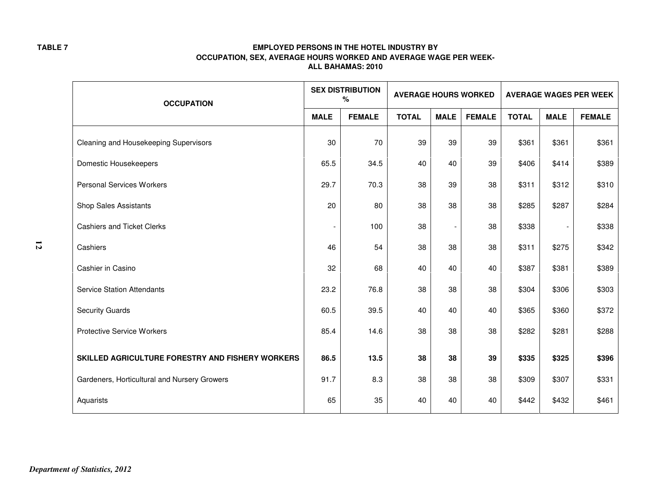|   | <b>OCCUPATION</b>                                |             | <b>SEX DISTRIBUTION</b><br>$\%$ | <b>AVERAGE HOURS WORKED</b> |             |               | <b>AVERAGE WAGES PER WEEK</b> |             |               |
|---|--------------------------------------------------|-------------|---------------------------------|-----------------------------|-------------|---------------|-------------------------------|-------------|---------------|
|   |                                                  | <b>MALE</b> | <b>FEMALE</b>                   | <b>TOTAL</b>                | <b>MALE</b> | <b>FEMALE</b> | <b>TOTAL</b>                  | <b>MALE</b> | <b>FEMALE</b> |
|   | Cleaning and Housekeeping Supervisors            | 30          | 70                              | 39                          | 39          | 39            | \$361                         | \$361       | \$361         |
|   | Domestic Housekeepers                            | 65.5        | 34.5                            | 40                          | 40          | 39            | \$406                         | \$414       | \$389         |
|   | <b>Personal Services Workers</b>                 | 29.7        | 70.3                            | 38                          | 39          | 38            | \$311                         | \$312       | \$310         |
|   | <b>Shop Sales Assistants</b>                     | 20          | 80                              | 38                          | 38          | 38            | \$285                         | \$287       | \$284         |
|   | <b>Cashiers and Ticket Clerks</b>                |             | 100                             | 38                          |             | 38            | \$338                         |             | \$338         |
| 5 | Cashiers                                         | 46          | 54                              | 38                          | 38          | 38            | \$311                         | \$275       | \$342         |
|   | Cashier in Casino                                | 32          | 68                              | 40                          | 40          | 40            | \$387                         | \$381       | \$389         |
|   | <b>Service Station Attendants</b>                | 23.2        | 76.8                            | 38                          | 38          | 38            | \$304                         | \$306       | \$303         |
|   | <b>Security Guards</b>                           | 60.5        | 39.5                            | 40                          | 40          | 40            | \$365                         | \$360       | \$372         |
|   | <b>Protective Service Workers</b>                | 85.4        | 14.6                            | 38                          | 38          | 38            | \$282                         | \$281       | \$288         |
|   | SKILLED AGRICULTURE FORESTRY AND FISHERY WORKERS | 86.5        | 13.5                            | 38                          | 38          | 39            | \$335                         | \$325       | \$396         |
|   | Gardeners, Horticultural and Nursery Growers     | 91.7        | 8.3                             | 38                          | 38          | 38            | \$309                         | \$307       | \$331         |
|   | Aquarists                                        | 65          | 35                              | 40                          | 40          | 40            | \$442                         | \$432       | \$461         |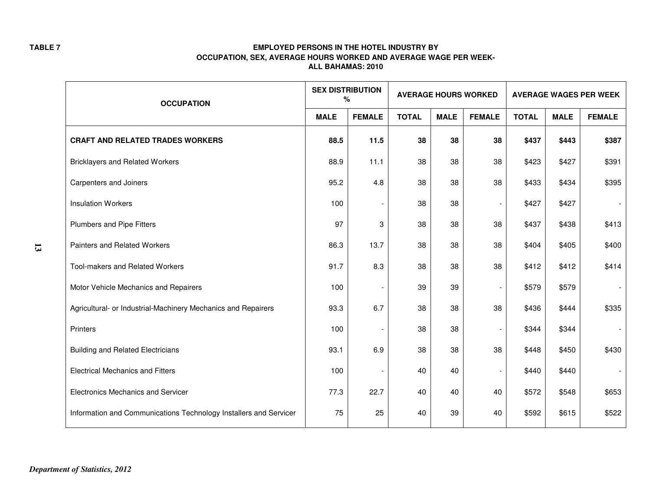|                           | <b>OCCUPATION</b>                                                 | <b>SEX DISTRIBUTION</b><br>$\%$ |               | <b>AVERAGE HOURS WORKED</b> |             |                          | <b>AVERAGE WAGES PER WEEK</b> |             |               |
|---------------------------|-------------------------------------------------------------------|---------------------------------|---------------|-----------------------------|-------------|--------------------------|-------------------------------|-------------|---------------|
|                           |                                                                   | <b>MALE</b>                     | <b>FEMALE</b> | <b>TOTAL</b>                | <b>MALE</b> | <b>FEMALE</b>            | <b>TOTAL</b>                  | <b>MALE</b> | <b>FEMALE</b> |
|                           | <b>CRAFT AND RELATED TRADES WORKERS</b>                           | 88.5                            | 11.5          | 38                          | 38          | 38                       | \$437                         | \$443       | \$387         |
|                           | <b>Bricklayers and Related Workers</b>                            | 88.9                            | 11.1          | 38                          | 38          | 38                       | \$423                         | \$427       | \$391         |
|                           | <b>Carpenters and Joiners</b>                                     | 95.2                            | 4.8           | 38                          | 38          | 38                       | \$433                         | \$434       | \$395         |
|                           | <b>Insulation Workers</b>                                         | 100                             |               | 38                          | 38          | $\overline{\phantom{a}}$ | \$427                         | \$427       |               |
|                           | Plumbers and Pipe Fitters                                         | 97                              | 3             | 38                          | 38          | 38                       | \$437                         | \$438       | \$413         |
| $\boldsymbol{\mathsf{1}}$ | <b>Painters and Related Workers</b>                               | 86.3                            | 13.7          | 38                          | 38          | 38                       | \$404                         | \$405       | \$400         |
|                           | Tool-makers and Related Workers                                   | 91.7                            | 8.3           | 38                          | 38          | 38                       | \$412                         | \$412       | \$414         |
|                           | Motor Vehicle Mechanics and Repairers                             | 100                             |               | 39                          | 39          | $\blacksquare$           | \$579                         | \$579       |               |
|                           | Agricultural- or Industrial-Machinery Mechanics and Repairers     | 93.3                            | 6.7           | 38                          | 38          | 38                       | \$436                         | \$444       | \$335         |
|                           | Printers                                                          | 100                             |               | 38                          | 38          | $\overline{\phantom{a}}$ | \$344                         | \$344       |               |
|                           | <b>Building and Related Electricians</b>                          | 93.1                            | 6.9           | 38                          | 38          | 38                       | \$448                         | \$450       | \$430         |
|                           | <b>Electrical Mechanics and Fitters</b>                           | 100                             |               | 40                          | 40          |                          | \$440                         | \$440       |               |
|                           | <b>Electronics Mechanics and Servicer</b>                         | 77.3                            | 22.7          | 40                          | 40          | 40                       | \$572                         | \$548       | \$653         |
|                           | Information and Communications Technology Installers and Servicer | 75                              | 25            | 40                          | 39          | 40                       | \$592                         | \$615       | \$522         |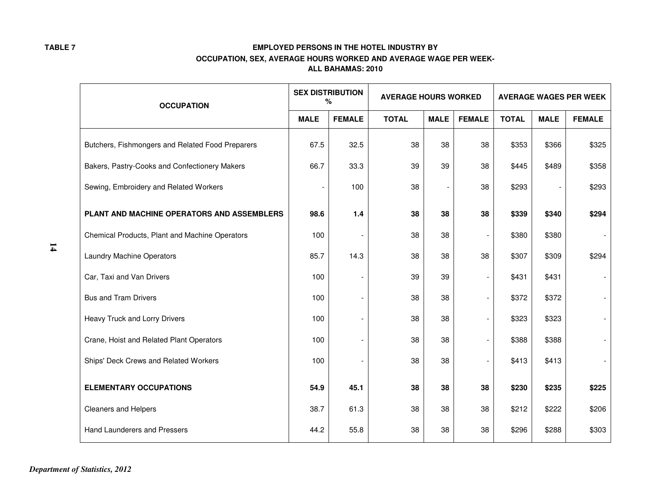|               | <b>OCCUPATION</b>                                | <b>SEX DISTRIBUTION</b><br><b>AVERAGE HOURS WORKED</b><br>$\%$ |               |              |             | <b>AVERAGE WAGES PER WEEK</b> |              |             |               |
|---------------|--------------------------------------------------|----------------------------------------------------------------|---------------|--------------|-------------|-------------------------------|--------------|-------------|---------------|
|               |                                                  | <b>MALE</b>                                                    | <b>FEMALE</b> | <b>TOTAL</b> | <b>MALE</b> | <b>FEMALE</b>                 | <b>TOTAL</b> | <b>MALE</b> | <b>FEMALE</b> |
|               | Butchers, Fishmongers and Related Food Preparers | 67.5                                                           | 32.5          | 38           | 38          | 38                            | \$353        | \$366       | \$325         |
|               | Bakers, Pastry-Cooks and Confectionery Makers    | 66.7                                                           | 33.3          | 39           | 39          | 38                            | \$445        | \$489       | \$358         |
|               | Sewing, Embroidery and Related Workers           |                                                                | 100           | 38           |             | 38                            | \$293        |             | \$293         |
|               | PLANT AND MACHINE OPERATORS AND ASSEMBLERS       | 98.6                                                           | $1.4$         | 38           | 38          | 38                            | \$339        | \$340       | \$294         |
|               | Chemical Products, Plant and Machine Operators   | 100                                                            |               | 38           | 38          | $\overline{\phantom{a}}$      | \$380        | \$380       |               |
| $\mathbf{14}$ | <b>Laundry Machine Operators</b>                 | 85.7                                                           | 14.3          | 38           | 38          | 38                            | \$307        | \$309       | \$294         |
|               | Car, Taxi and Van Drivers                        | 100                                                            |               | 39           | 39          | $\overline{\phantom{a}}$      | \$431        | \$431       |               |
|               | <b>Bus and Tram Drivers</b>                      | 100                                                            |               | 38           | 38          | $\blacksquare$                | \$372        | \$372       |               |
|               | Heavy Truck and Lorry Drivers                    | 100                                                            |               | 38           | 38          | $\overline{\phantom{a}}$      | \$323        | \$323       |               |
|               | Crane, Hoist and Related Plant Operators         | 100                                                            |               | 38           | 38          | $\blacksquare$                | \$388        | \$388       |               |
|               | Ships' Deck Crews and Related Workers            | 100                                                            |               | 38           | 38          |                               | \$413        | \$413       |               |
|               | <b>ELEMENTARY OCCUPATIONS</b>                    | 54.9                                                           | 45.1          | 38           | 38          | 38                            | \$230        | \$235       | \$225         |
|               | Cleaners and Helpers                             | 38.7                                                           | 61.3          | 38           | 38          | 38                            | \$212        | \$222       | \$206         |
|               | Hand Launderers and Pressers                     | 44.2                                                           | 55.8          | 38           | 38          | 38                            | \$296        | \$288       | \$303         |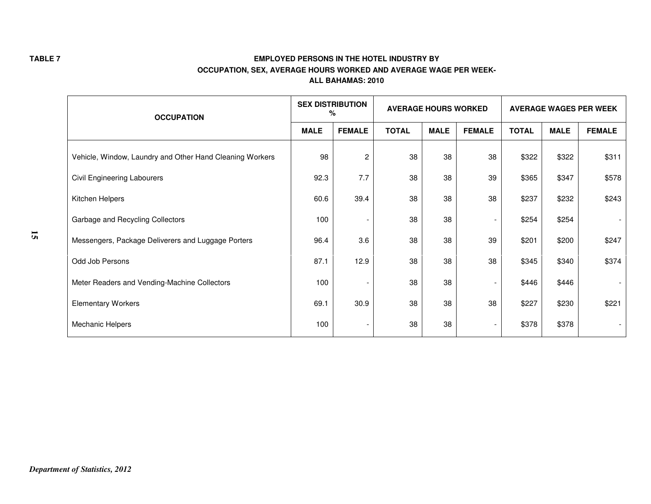|    | <b>OCCUPATION</b>                                        | <b>SEX DISTRIBUTION</b><br><b>AVERAGE HOURS WORKED</b><br>% |                          | <b>AVERAGE WAGES PER WEEK</b> |             |                          |              |             |               |
|----|----------------------------------------------------------|-------------------------------------------------------------|--------------------------|-------------------------------|-------------|--------------------------|--------------|-------------|---------------|
|    |                                                          | <b>MALE</b>                                                 | <b>FEMALE</b>            | <b>TOTAL</b>                  | <b>MALE</b> | <b>FEMALE</b>            | <b>TOTAL</b> | <b>MALE</b> | <b>FEMALE</b> |
|    | Vehicle, Window, Laundry and Other Hand Cleaning Workers | 98                                                          | $\overline{c}$           | 38                            | 38          | 38                       | \$322        | \$322       | \$311         |
|    | Civil Engineering Labourers                              | 92.3                                                        | 7.7                      | 38                            | 38          | 39                       | \$365        | \$347       | \$578         |
|    | Kitchen Helpers                                          | 60.6                                                        | 39.4                     | 38                            | 38          | 38                       | \$237        | \$232       | \$243         |
|    | Garbage and Recycling Collectors                         | 100                                                         |                          | 38                            | 38          | $\overline{\phantom{a}}$ | \$254        | \$254       |               |
| 15 | Messengers, Package Deliverers and Luggage Porters       | 96.4                                                        | 3.6                      | 38                            | 38          | 39                       | \$201        | \$200       | \$247         |
|    | Odd Job Persons                                          | 87.1                                                        | 12.9                     | 38                            | 38          | 38                       | \$345        | \$340       | \$374         |
|    | Meter Readers and Vending-Machine Collectors             | 100                                                         |                          | 38                            | 38          | $\overline{\phantom{a}}$ | \$446        | \$446       |               |
|    | <b>Elementary Workers</b>                                | 69.1                                                        | 30.9                     | 38                            | 38          | 38                       | \$227        | \$230       | \$221         |
|    | Mechanic Helpers                                         | 100                                                         | $\overline{\phantom{a}}$ | 38                            | 38          | $\overline{\phantom{a}}$ | \$378        | \$378       |               |